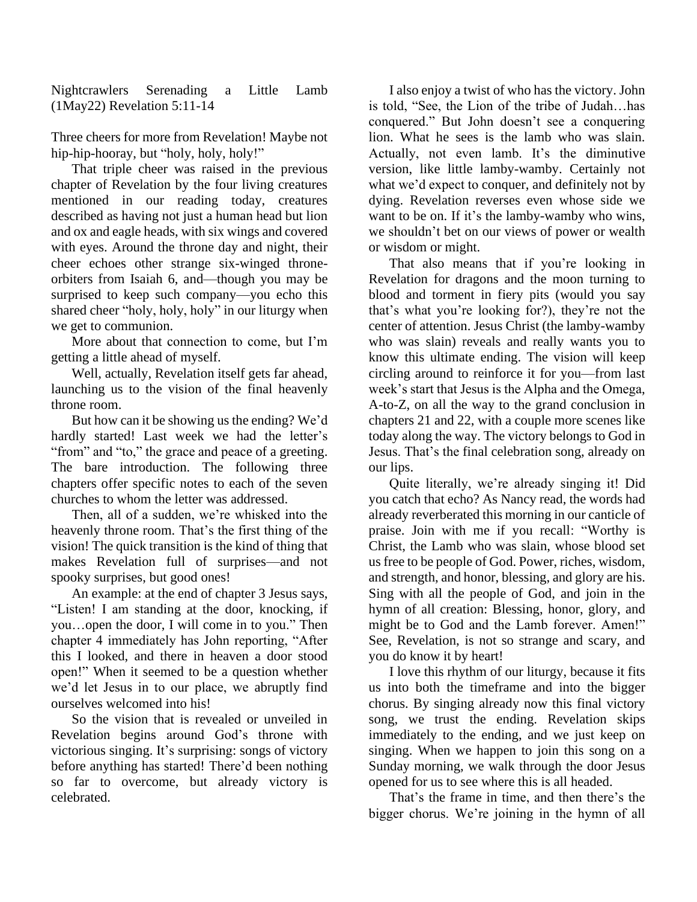Nightcrawlers Serenading a Little Lamb (1May22) Revelation 5:11-14

Three cheers for more from Revelation! Maybe not hip-hip-hooray, but "holy, holy, holy!"

That triple cheer was raised in the previous chapter of Revelation by the four living creatures mentioned in our reading today, creatures described as having not just a human head but lion and ox and eagle heads, with six wings and covered with eyes. Around the throne day and night, their cheer echoes other strange six-winged throneorbiters from Isaiah 6, and—though you may be surprised to keep such company—you echo this shared cheer "holy, holy, holy" in our liturgy when we get to communion.

More about that connection to come, but I'm getting a little ahead of myself.

Well, actually, Revelation itself gets far ahead, launching us to the vision of the final heavenly throne room.

But how can it be showing us the ending? We'd hardly started! Last week we had the letter's "from" and "to," the grace and peace of a greeting. The bare introduction. The following three chapters offer specific notes to each of the seven churches to whom the letter was addressed.

Then, all of a sudden, we're whisked into the heavenly throne room. That's the first thing of the vision! The quick transition is the kind of thing that makes Revelation full of surprises—and not spooky surprises, but good ones!

An example: at the end of chapter 3 Jesus says, "Listen! I am standing at the door, knocking, if you…open the door, I will come in to you." Then chapter 4 immediately has John reporting, "After this I looked, and there in heaven a door stood open!" When it seemed to be a question whether we'd let Jesus in to our place, we abruptly find ourselves welcomed into his!

So the vision that is revealed or unveiled in Revelation begins around God's throne with victorious singing. It's surprising: songs of victory before anything has started! There'd been nothing so far to overcome, but already victory is celebrated.

I also enjoy a twist of who has the victory. John is told, "See, the Lion of the tribe of Judah…has conquered." But John doesn't see a conquering lion. What he sees is the lamb who was slain. Actually, not even lamb. It's the diminutive version, like little lamby-wamby. Certainly not what we'd expect to conquer, and definitely not by dying. Revelation reverses even whose side we want to be on. If it's the lamby-wamby who wins, we shouldn't bet on our views of power or wealth or wisdom or might.

That also means that if you're looking in Revelation for dragons and the moon turning to blood and torment in fiery pits (would you say that's what you're looking for?), they're not the center of attention. Jesus Christ (the lamby-wamby who was slain) reveals and really wants you to know this ultimate ending. The vision will keep circling around to reinforce it for you—from last week's start that Jesus is the Alpha and the Omega, A-to-Z, on all the way to the grand conclusion in chapters 21 and 22, with a couple more scenes like today along the way. The victory belongs to God in Jesus. That's the final celebration song, already on our lips.

Quite literally, we're already singing it! Did you catch that echo? As Nancy read, the words had already reverberated this morning in our canticle of praise. Join with me if you recall: "Worthy is Christ, the Lamb who was slain, whose blood set us free to be people of God. Power, riches, wisdom, and strength, and honor, blessing, and glory are his. Sing with all the people of God, and join in the hymn of all creation: Blessing, honor, glory, and might be to God and the Lamb forever. Amen!" See, Revelation, is not so strange and scary, and you do know it by heart!

I love this rhythm of our liturgy, because it fits us into both the timeframe and into the bigger chorus. By singing already now this final victory song, we trust the ending. Revelation skips immediately to the ending, and we just keep on singing. When we happen to join this song on a Sunday morning, we walk through the door Jesus opened for us to see where this is all headed.

That's the frame in time, and then there's the bigger chorus. We're joining in the hymn of all